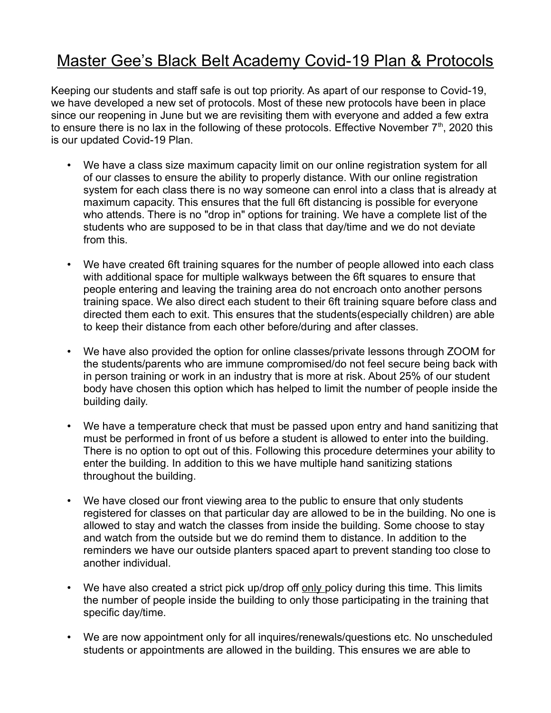## Master Gee's Black Belt Academy Covid-19 Plan & Protocols

Keeping our students and staff safe is out top priority. As apart of our response to Covid-19, we have developed a new set of protocols. Most of these new protocols have been in place since our reopening in June but we are revisiting them with everyone and added a few extra to ensure there is no lax in the following of these protocols. Effective November  $7<sup>th</sup>$ , 2020 this is our updated Covid-19 Plan.

- We have a class size maximum capacity limit on our online registration system for all of our classes to ensure the ability to properly distance. With our online registration system for each class there is no way someone can enrol into a class that is already at maximum capacity. This ensures that the full 6ft distancing is possible for everyone who attends. There is no "drop in" options for training. We have a complete list of the students who are supposed to be in that class that day/time and we do not deviate from this.
- We have created 6ft training squares for the number of people allowed into each class with additional space for multiple walkways between the 6ft squares to ensure that people entering and leaving the training area do not encroach onto another persons training space. We also direct each student to their 6ft training square before class and directed them each to exit. This ensures that the students(especially children) are able to keep their distance from each other before/during and after classes.
- We have also provided the option for online classes/private lessons through ZOOM for the students/parents who are immune compromised/do not feel secure being back with in person training or work in an industry that is more at risk. About 25% of our student body have chosen this option which has helped to limit the number of people inside the building daily.
- We have a temperature check that must be passed upon entry and hand sanitizing that must be performed in front of us before a student is allowed to enter into the building. There is no option to opt out of this. Following this procedure determines your ability to enter the building. In addition to this we have multiple hand sanitizing stations throughout the building.
- We have closed our front viewing area to the public to ensure that only students registered for classes on that particular day are allowed to be in the building. No one is allowed to stay and watch the classes from inside the building. Some choose to stay and watch from the outside but we do remind them to distance. In addition to the reminders we have our outside planters spaced apart to prevent standing too close to another individual.
- We have also created a strict pick up/drop off only policy during this time. This limits the number of people inside the building to only those participating in the training that specific day/time.
- We are now appointment only for all inquires/renewals/questions etc. No unscheduled students or appointments are allowed in the building. This ensures we are able to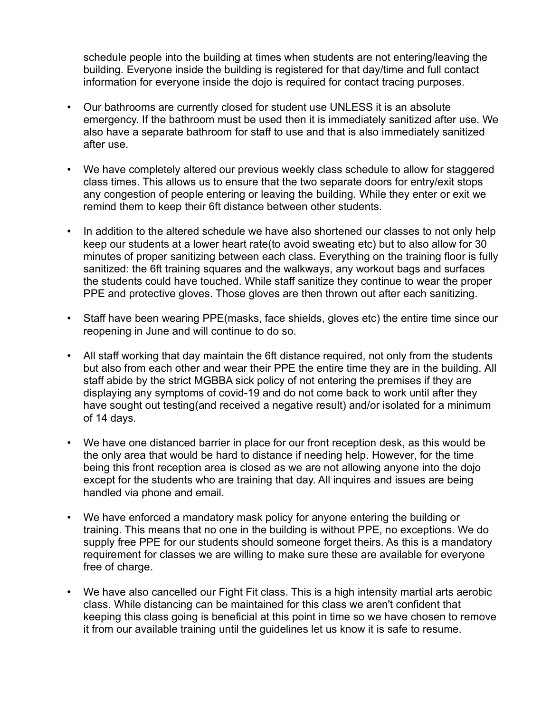schedule people into the building at times when students are not entering/leaving the building. Everyone inside the building is registered for that day/time and full contact information for everyone inside the dojo is required for contact tracing purposes.

- Our bathrooms are currently closed for student use UNLESS it is an absolute emergency. If the bathroom must be used then it is immediately sanitized after use. We also have a separate bathroom for staff to use and that is also immediately sanitized after use.
- We have completely altered our previous weekly class schedule to allow for staggered class times. This allows us to ensure that the two separate doors for entry/exit stops any congestion of people entering or leaving the building. While they enter or exit we remind them to keep their 6ft distance between other students.
- In addition to the altered schedule we have also shortened our classes to not only help keep our students at a lower heart rate(to avoid sweating etc) but to also allow for 30 minutes of proper sanitizing between each class. Everything on the training floor is fully sanitized: the 6ft training squares and the walkways, any workout bags and surfaces the students could have touched. While staff sanitize they continue to wear the proper PPE and protective gloves. Those gloves are then thrown out after each sanitizing.
- Staff have been wearing PPE(masks, face shields, gloves etc) the entire time since our reopening in June and will continue to do so.
- All staff working that day maintain the 6ft distance required, not only from the students but also from each other and wear their PPE the entire time they are in the building. All staff abide by the strict MGBBA sick policy of not entering the premises if they are displaying any symptoms of covid-19 and do not come back to work until after they have sought out testing(and received a negative result) and/or isolated for a minimum of 14 days.
- We have one distanced barrier in place for our front reception desk, as this would be the only area that would be hard to distance if needing help. However, for the time being this front reception area is closed as we are not allowing anyone into the dojo except for the students who are training that day. All inquires and issues are being handled via phone and email.
- We have enforced a mandatory mask policy for anyone entering the building or training. This means that no one in the building is without PPE, no exceptions. We do supply free PPE for our students should someone forget theirs. As this is a mandatory requirement for classes we are willing to make sure these are available for everyone free of charge.
- We have also cancelled our Fight Fit class. This is a high intensity martial arts aerobic class. While distancing can be maintained for this class we aren't confident that keeping this class going is beneficial at this point in time so we have chosen to remove it from our available training until the guidelines let us know it is safe to resume.